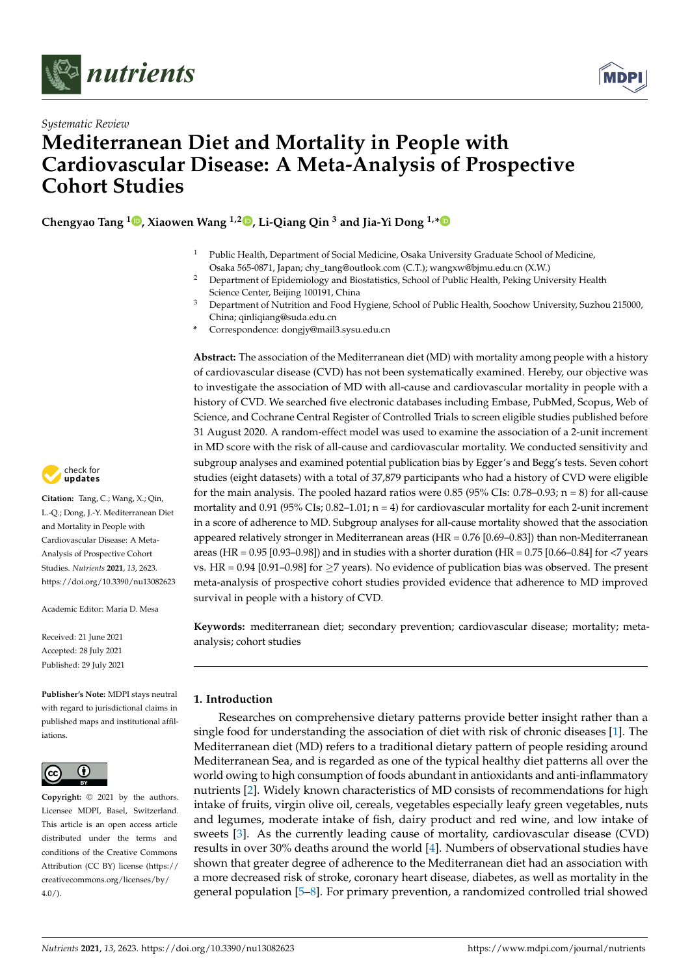



# *Systematic Review* **Mediterranean Diet and Mortality in People with Cardiovascular Disease: A Meta-Analysis of Prospective Cohort Studies**

**Chengyao Tang [1](https://orcid.org/0000-0001-6508-3693) , Xiaowen Wang 1,2 [,](https://orcid.org/0000-0003-4623-1608) Li-Qiang Qin <sup>3</sup> and Jia-Yi Dong 1,[\\*](https://orcid.org/0000-0002-8667-6946)**

- <sup>1</sup> Public Health, Department of Social Medicine, Osaka University Graduate School of Medicine, Osaka 565-0871, Japan; chy\_tang@outlook.com (C.T.); wangxw@bjmu.edu.cn (X.W.)
- <sup>2</sup> Department of Epidemiology and Biostatistics, School of Public Health, Peking University Health Science Center, Beijing 100191, China
- <sup>3</sup> Department of Nutrition and Food Hygiene, School of Public Health, Soochow University, Suzhou 215000, China; qinliqiang@suda.edu.cn
- **\*** Correspondence: dongjy@mail3.sysu.edu.cn

**Abstract:** The association of the Mediterranean diet (MD) with mortality among people with a history of cardiovascular disease (CVD) has not been systematically examined. Hereby, our objective was to investigate the association of MD with all-cause and cardiovascular mortality in people with a history of CVD. We searched five electronic databases including Embase, PubMed, Scopus, Web of Science, and Cochrane Central Register of Controlled Trials to screen eligible studies published before 31 August 2020. A random-effect model was used to examine the association of a 2-unit increment in MD score with the risk of all-cause and cardiovascular mortality. We conducted sensitivity and subgroup analyses and examined potential publication bias by Egger's and Begg's tests. Seven cohort studies (eight datasets) with a total of 37,879 participants who had a history of CVD were eligible for the main analysis. The pooled hazard ratios were 0.85 (95% CIs:  $0.78-0.93$ ; n = 8) for all-cause mortality and 0.91 (95% CIs;  $0.82-1.01$ ; n = 4) for cardiovascular mortality for each 2-unit increment in a score of adherence to MD. Subgroup analyses for all-cause mortality showed that the association appeared relatively stronger in Mediterranean areas (HR = 0.76 [0.69–0.83]) than non-Mediterranean areas (HR =  $0.95$  [0.93–0.98]) and in studies with a shorter duration (HR =  $0.75$  [0.66–0.84] for <7 years vs. HR = 0.94 [0.91–0.98] for  $\geq$ 7 years). No evidence of publication bias was observed. The present meta-analysis of prospective cohort studies provided evidence that adherence to MD improved survival in people with a history of CVD.

**Keywords:** mediterranean diet; secondary prevention; cardiovascular disease; mortality; metaanalysis; cohort studies

# **1. Introduction**

Researches on comprehensive dietary patterns provide better insight rather than a single food for understanding the association of diet with risk of chronic diseases [\[1\]](#page-7-0). The Mediterranean diet (MD) refers to a traditional dietary pattern of people residing around Mediterranean Sea, and is regarded as one of the typical healthy diet patterns all over the world owing to high consumption of foods abundant in antioxidants and anti-inflammatory nutrients [\[2\]](#page-7-1). Widely known characteristics of MD consists of recommendations for high intake of fruits, virgin olive oil, cereals, vegetables especially leafy green vegetables, nuts and legumes, moderate intake of fish, dairy product and red wine, and low intake of sweets [\[3\]](#page-7-2). As the currently leading cause of mortality, cardiovascular disease (CVD) results in over 30% deaths around the world [\[4\]](#page-7-3). Numbers of observational studies have shown that greater degree of adherence to the Mediterranean diet had an association with a more decreased risk of stroke, coronary heart disease, diabetes, as well as mortality in the general population [\[5–](#page-7-4)[8\]](#page-7-5). For primary prevention, a randomized controlled trial showed



**Citation:** Tang, C.; Wang, X.; Qin, L.-Q.; Dong, J.-Y. Mediterranean Diet and Mortality in People with Cardiovascular Disease: A Meta-Analysis of Prospective Cohort Studies. *Nutrients* **2021**, *13*, 2623. <https://doi.org/10.3390/nu13082623>

Academic Editor: Maria D. Mesa

Received: 21 June 2021 Accepted: 28 July 2021 Published: 29 July 2021

**Publisher's Note:** MDPI stays neutral with regard to jurisdictional claims in published maps and institutional affiliations.



**Copyright:** © 2021 by the authors. Licensee MDPI, Basel, Switzerland. This article is an open access article distributed under the terms and conditions of the Creative Commons Attribution (CC BY) license (https:/[/](https://creativecommons.org/licenses/by/4.0/) [creativecommons.org/licenses/by/](https://creativecommons.org/licenses/by/4.0/)  $4.0/$ ).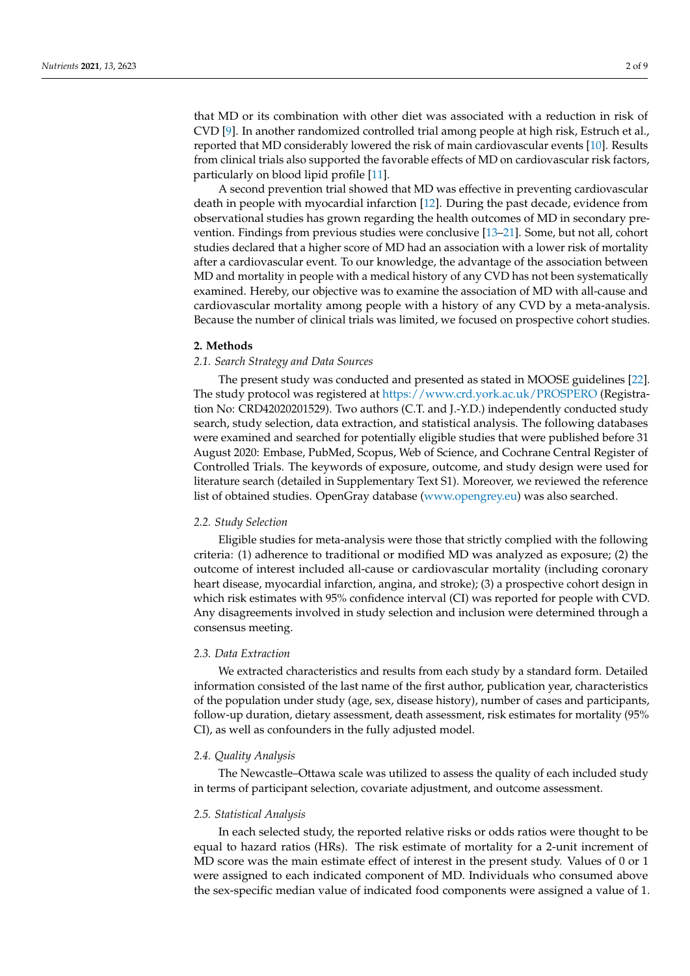that MD or its combination with other diet was associated with a reduction in risk of CVD [\[9\]](#page-7-6). In another randomized controlled trial among people at high risk, Estruch et al., reported that MD considerably lowered the risk of main cardiovascular events [\[10\]](#page-7-7). Results from clinical trials also supported the favorable effects of MD on cardiovascular risk factors, particularly on blood lipid profile [\[11\]](#page-7-8).

A second prevention trial showed that MD was effective in preventing cardiovascular death in people with myocardial infarction [\[12\]](#page-7-9). During the past decade, evidence from observational studies has grown regarding the health outcomes of MD in secondary prevention. Findings from previous studies were conclusive [\[13](#page-7-10)[–21\]](#page-7-11). Some, but not all, cohort studies declared that a higher score of MD had an association with a lower risk of mortality after a cardiovascular event. To our knowledge, the advantage of the association between MD and mortality in people with a medical history of any CVD has not been systematically examined. Hereby, our objective was to examine the association of MD with all-cause and cardiovascular mortality among people with a history of any CVD by a meta-analysis. Because the number of clinical trials was limited, we focused on prospective cohort studies.

# **2. Methods**

# *2.1. Search Strategy and Data Sources*

The present study was conducted and presented as stated in MOOSE guidelines [\[22\]](#page-7-12). The study protocol was registered at <https://www.crd.york.ac.uk/PROSPERO> (Registration No: CRD42020201529). Two authors (C.T. and J.-Y.D.) independently conducted study search, study selection, data extraction, and statistical analysis. The following databases were examined and searched for potentially eligible studies that were published before 31 August 2020: Embase, PubMed, Scopus, Web of Science, and Cochrane Central Register of Controlled Trials. The keywords of exposure, outcome, and study design were used for literature search (detailed in Supplementary Text S1). Moreover, we reviewed the reference list of obtained studies. OpenGray database [\(www.opengrey.eu\)](www.opengrey.eu) was also searched.

#### *2.2. Study Selection*

Eligible studies for meta-analysis were those that strictly complied with the following criteria: (1) adherence to traditional or modified MD was analyzed as exposure; (2) the outcome of interest included all-cause or cardiovascular mortality (including coronary heart disease, myocardial infarction, angina, and stroke); (3) a prospective cohort design in which risk estimates with 95% confidence interval (CI) was reported for people with CVD. Any disagreements involved in study selection and inclusion were determined through a consensus meeting.

# *2.3. Data Extraction*

We extracted characteristics and results from each study by a standard form. Detailed information consisted of the last name of the first author, publication year, characteristics of the population under study (age, sex, disease history), number of cases and participants, follow-up duration, dietary assessment, death assessment, risk estimates for mortality (95% CI), as well as confounders in the fully adjusted model.

#### *2.4. Quality Analysis*

The Newcastle–Ottawa scale was utilized to assess the quality of each included study in terms of participant selection, covariate adjustment, and outcome assessment.

#### *2.5. Statistical Analysis*

In each selected study, the reported relative risks or odds ratios were thought to be equal to hazard ratios (HRs). The risk estimate of mortality for a 2-unit increment of MD score was the main estimate effect of interest in the present study. Values of 0 or 1 were assigned to each indicated component of MD. Individuals who consumed above the sex-specific median value of indicated food components were assigned a value of 1.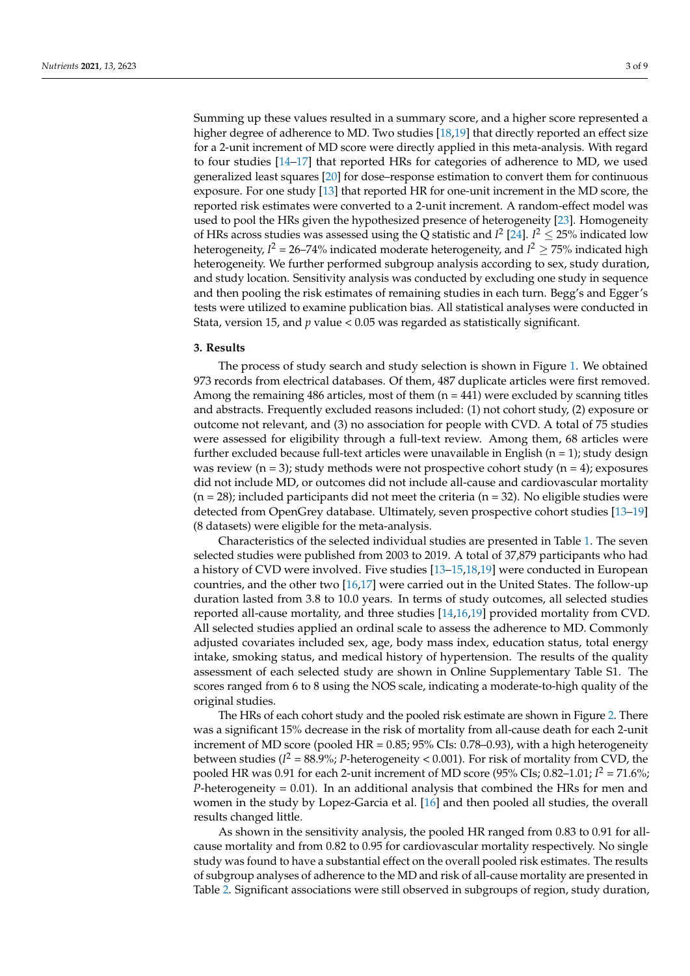Summing up these values resulted in a summary score, and a higher score represented a higher degree of adherence to MD. Two studies [\[18,](#page-7-13)[19\]](#page-7-14) that directly reported an effect size for a 2-unit increment of MD score were directly applied in this meta-analysis. With regard to four studies [\[14–](#page-7-15)[17\]](#page-7-16) that reported HRs for categories of adherence to MD, we used generalized least squares [\[20\]](#page-7-17) for dose–response estimation to convert them for continuous exposure. For one study [\[13\]](#page-7-10) that reported HR for one-unit increment in the MD score, the reported risk estimates were converted to a 2-unit increment. A random-effect model was used to pool the HRs given the hypothesized presence of heterogeneity [\[23\]](#page-7-18). Homogeneity of HRs across studies was assessed using the Q statistic and  $I^2$  [\[24\]](#page-7-19).  $I^2 \le 25\%$  indicated low heterogeneity, *I*<sup>2</sup> = 26–74% indicated moderate heterogeneity, and *I*<sup>2</sup>  $\geq$  75% indicated high heterogeneity. We further performed subgroup analysis according to sex, study duration, and study location. Sensitivity analysis was conducted by excluding one study in sequence and then pooling the risk estimates of remaining studies in each turn. Begg's and Egger's tests were utilized to examine publication bias. All statistical analyses were conducted in Stata, version 15, and *p* value < 0.05 was regarded as statistically significant.

#### **3. Results**

The process of study search and study selection is shown in Figure [1.](#page-3-0) We obtained 973 records from electrical databases. Of them, 487 duplicate articles were first removed. Among the remaining 486 articles, most of them  $(n = 441)$  were excluded by scanning titles and abstracts. Frequently excluded reasons included: (1) not cohort study, (2) exposure or outcome not relevant, and (3) no association for people with CVD. A total of 75 studies were assessed for eligibility through a full-text review. Among them, 68 articles were further excluded because full-text articles were unavailable in English ( $n = 1$ ); study design was review  $(n = 3)$ ; study methods were not prospective cohort study  $(n = 4)$ ; exposures did not include MD, or outcomes did not include all-cause and cardiovascular mortality  $(n = 28)$ ; included participants did not meet the criteria  $(n = 32)$ . No eligible studies were detected from OpenGrey database. Ultimately, seven prospective cohort studies [\[13–](#page-7-10)[19\]](#page-7-14) (8 datasets) were eligible for the meta-analysis.

Characteristics of the selected individual studies are presented in Table [1.](#page-4-0) The seven selected studies were published from 2003 to 2019. A total of 37,879 participants who had a history of CVD were involved. Five studies [\[13](#page-7-10)[–15,](#page-7-20)[18,](#page-7-13)[19\]](#page-7-14) were conducted in European countries, and the other two [\[16](#page-7-21)[,17\]](#page-7-16) were carried out in the United States. The follow-up duration lasted from 3.8 to 10.0 years. In terms of study outcomes, all selected studies reported all-cause mortality, and three studies [\[14,](#page-7-15)[16,](#page-7-21)[19\]](#page-7-14) provided mortality from CVD. All selected studies applied an ordinal scale to assess the adherence to MD. Commonly adjusted covariates included sex, age, body mass index, education status, total energy intake, smoking status, and medical history of hypertension. The results of the quality assessment of each selected study are shown in Online Supplementary Table S1. The scores ranged from 6 to 8 using the NOS scale, indicating a moderate-to-high quality of the original studies.

The HRs of each cohort study and the pooled risk estimate are shown in Figure [2.](#page-4-1) There was a significant 15% decrease in the risk of mortality from all-cause death for each 2-unit increment of MD score (pooled  $HR = 0.85$ ; 95% CIs: 0.78–0.93), with a high heterogeneity between studies ( $I^2 = 88.9\%$ ; *P*-heterogeneity < 0.001). For risk of mortality from CVD, the pooled HR was 0.91 for each 2-unit increment of MD score (95% CIs; 0.82–1.01;  $I^2 = 71.6\%$ ; *P*-heterogeneity = 0.01). In an additional analysis that combined the HRs for men and women in the study by Lopez-Garcia et al. [\[16\]](#page-7-21) and then pooled all studies, the overall results changed little.

As shown in the sensitivity analysis, the pooled HR ranged from 0.83 to 0.91 for allcause mortality and from 0.82 to 0.95 for cardiovascular mortality respectively. No single study was found to have a substantial effect on the overall pooled risk estimates. The results of subgroup analyses of adherence to the MD and risk of all-cause mortality are presented in Table [2.](#page-5-0) Significant associations were still observed in subgroups of region, study duration,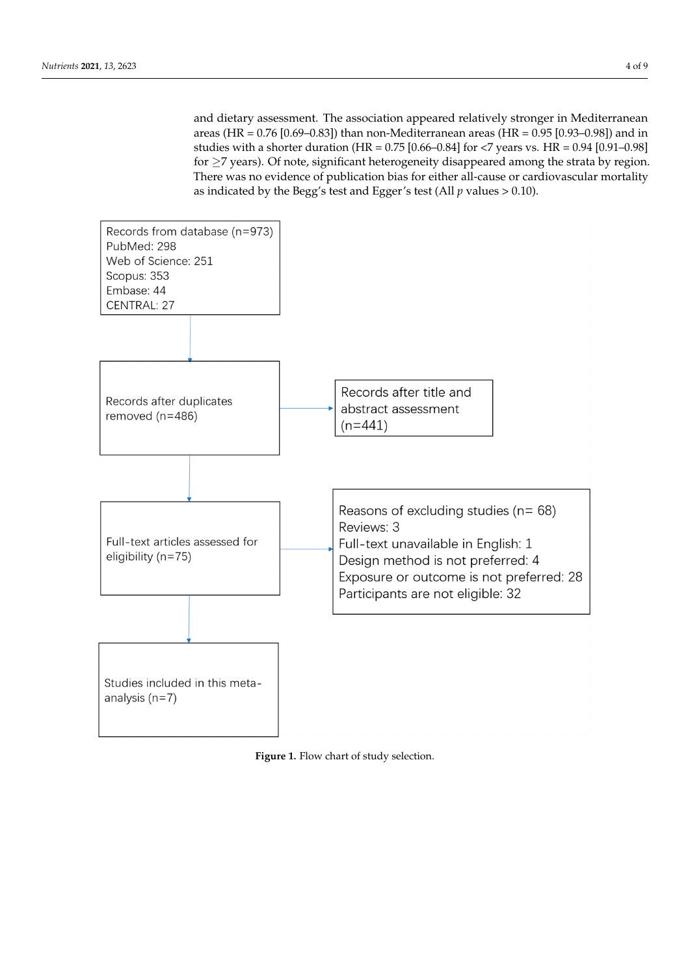and dietary assessment. The association appeared relatively stronger in Mediterranean areas (HR = 0.76 [0.69–0.83]) than non-Mediterranean areas (HR = 0.95 [0.93–0.98]) and in studies with a shorter duration (HR =  $0.75$  [0.66–0.84] for <7 years vs. HR =  $0.94$  [0.91–0.98] for  $\geq$ 7 years). Of note, significant heterogeneity disappeared among the strata by region. There was no evidence of publication bias for either all-cause or cardiovascular mortality as indicated by the Begg's test and Egger's test (All  $p$  values  $> 0.10$ ).

<span id="page-3-0"></span>

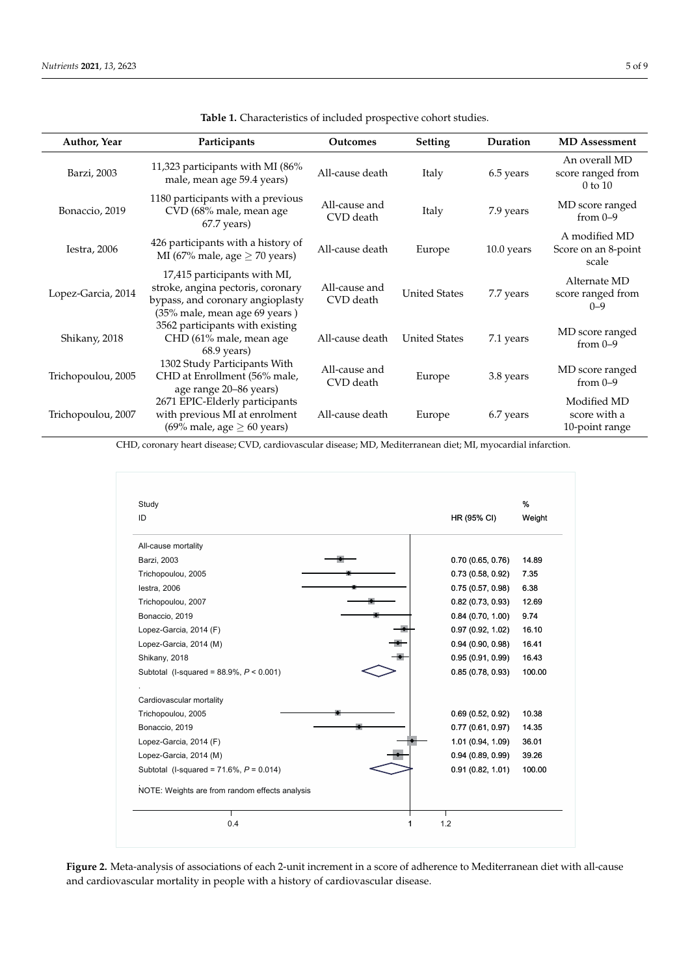<span id="page-4-0"></span>

| Author, Year       | Participants                                                                                                                           | <b>Outcomes</b>            | <b>Setting</b>       | Duration     | <b>MD</b> Assessment                              |
|--------------------|----------------------------------------------------------------------------------------------------------------------------------------|----------------------------|----------------------|--------------|---------------------------------------------------|
| Barzi, 2003        | 11,323 participants with MI (86%<br>male, mean age 59.4 years)                                                                         | All-cause death            | Italy                | 6.5 years    | An overall MD<br>score ranged from<br>$0$ to $10$ |
| Bonaccio, 2019     | 1180 participants with a previous<br>CVD (68% male, mean age<br>$67.7$ years)                                                          | All-cause and<br>CVD death | Italy                | 7.9 years    | MD score ranged<br>from $0-9$                     |
| Iestra, 2006       | 426 participants with a history of<br>MI (67% male, age $\geq$ 70 years)                                                               | All-cause death            | Europe               | $10.0$ years | A modified MD<br>Score on an 8-point<br>scale     |
| Lopez-Garcia, 2014 | 17,415 participants with MI,<br>stroke, angina pectoris, coronary<br>bypass, and coronary angioplasty<br>(35% male, mean age 69 years) | All-cause and<br>CVD death | <b>United States</b> | 7.7 years    | Alternate MD<br>score ranged from<br>$0 - 9$      |
| Shikany, 2018      | 3562 participants with existing<br>CHD (61% male, mean age<br>$68.9$ years)                                                            | All-cause death            | <b>United States</b> | 7.1 years    | MD score ranged<br>from $0-9$                     |
| Trichopoulou, 2005 | 1302 Study Participants With<br>CHD at Enrollment (56% male,<br>age range 20-86 years)                                                 | All-cause and<br>CVD death | Europe               | 3.8 years    | MD score ranged<br>from $0-9$                     |
| Trichopoulou, 2007 | 2671 EPIC-Elderly participants<br>with previous MI at enrolment<br>(69% male, age $\geq$ 60 years)                                     | All-cause death            | Europe               | 6.7 years    | Modified MD<br>score with a<br>10-point range     |

**Table 1.** Characteristics of included prospective cohort studies.

<span id="page-4-1"></span>CHD, coronary heart disease; CVD, cardiovascular disease; MD, Mediterranean diet; MI, myocardial infarction.

| Study                                          |                  | %      |
|------------------------------------------------|------------------|--------|
| ID                                             | HR (95% CI)      | Weight |
| All-cause mortality                            |                  |        |
| Barzi, 2003                                    | 0.70(0.65, 0.76) | 14.89  |
| Trichopoulou, 2005                             | 0.73(0.58, 0.92) | 7.35   |
| lestra, 2006                                   | 0.75(0.57, 0.98) | 6.38   |
| Trichopoulou, 2007                             | 0.82(0.73, 0.93) | 12.69  |
| Bonaccio, 2019                                 | 0.84(0.70, 1.00) | 9.74   |
| Lopez-Garcia, 2014 (F)                         | 0.97(0.92, 1.02) | 16.10  |
| Lopez-Garcia, 2014 (M)                         | 0.94(0.90, 0.98) | 16.41  |
| Shikany, 2018                                  | 0.95(0.91, 0.99) | 16.43  |
| Subtotal (I-squared = $88.9\%$ , $P < 0.001$ ) | 0.85(0.78, 0.93) | 100.00 |
|                                                |                  |        |
| Cardiovascular mortality                       |                  |        |
| Trichopoulou, 2005                             | 0.69(0.52, 0.92) | 10.38  |
| Bonaccio, 2019                                 | 0.77(0.61, 0.97) | 14.35  |
| Lopez-Garcia, 2014 (F)                         | 1.01(0.94, 1.09) | 36.01  |
| Lopez-Garcia, 2014 (M)                         | 0.94(0.89, 0.99) | 39.26  |
| Subtotal (I-squared = $71.6\%$ , $P = 0.014$ ) | 0.91(0.82, 1.01) | 100.00 |
| NOTE: Weights are from random effects analysis |                  |        |
| 0.4                                            | 1.2<br>1         |        |

Figure 2. Meta-analysis of associations of each 2-unit increment in a score of adherence to Mediterranean diet with all-cause cause and cardiovascular mortality in people with a history of cardiovascular disease. and cardiovascular mortality in people with a history of cardiovascular disease.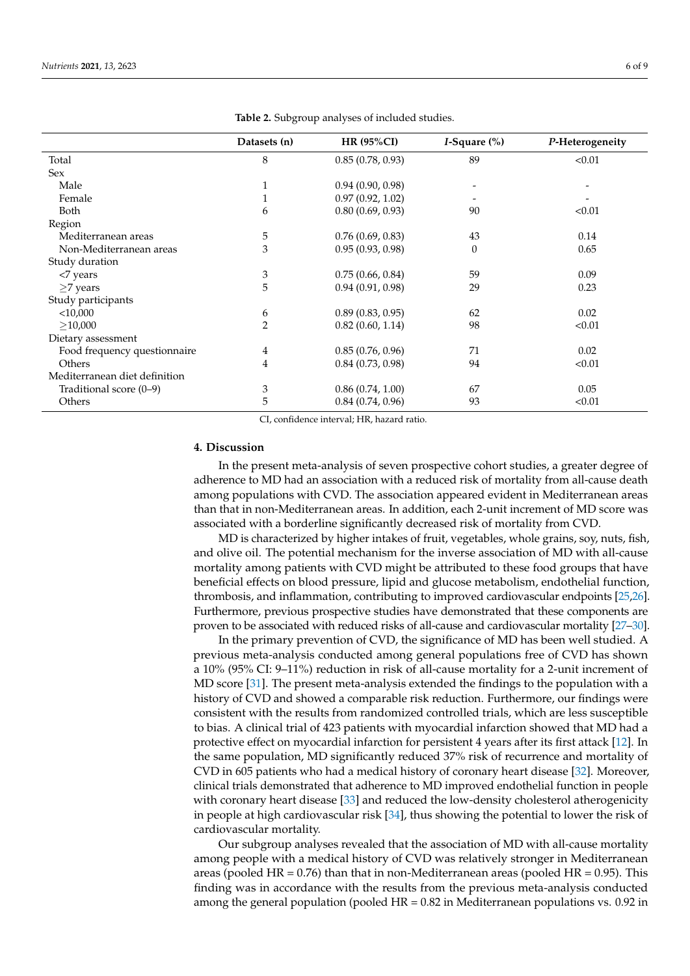<span id="page-5-0"></span>

|                               | Datasets (n)   | <b>HR (95%CI)</b> | <i>I</i> -Square $(\%)$ | P-Heterogeneity |
|-------------------------------|----------------|-------------------|-------------------------|-----------------|
| Total                         | 8              | 0.85(0.78, 0.93)  | 89                      | < 0.01          |
| <b>Sex</b>                    |                |                   |                         |                 |
| Male                          |                | 0.94(0.90, 0.98)  |                         |                 |
| Female                        |                | 0.97(0.92, 1.02)  |                         |                 |
| Both                          | 6              | 0.80(0.69, 0.93)  | 90                      | < 0.01          |
| Region                        |                |                   |                         |                 |
| Mediterranean areas           | 5              | 0.76(0.69, 0.83)  | 43                      | 0.14            |
| Non-Mediterranean areas       | 3              | 0.95(0.93, 0.98)  | $\theta$                | 0.65            |
| Study duration                |                |                   |                         |                 |
| <7 years                      | 3              | 0.75(0.66, 0.84)  | 59                      | 0.09            |
| $\geq$ 7 years                | 5              | 0.94(0.91, 0.98)  | 29                      | 0.23            |
| Study participants            |                |                   |                         |                 |
| $<$ 10,000                    | 6              | 0.89(0.83, 0.95)  | 62                      | 0.02            |
| >10,000                       | $\overline{2}$ | 0.82(0.60, 1.14)  | 98                      | < 0.01          |
| Dietary assessment            |                |                   |                         |                 |
| Food frequency questionnaire  | 4              | 0.85(0.76, 0.96)  | 71                      | 0.02            |
| Others                        | 4              | 0.84(0.73, 0.98)  | 94                      | < 0.01          |
| Mediterranean diet definition |                |                   |                         |                 |
| Traditional score (0–9)       | 3              | 0.86(0.74, 1.00)  | 67                      | 0.05            |
| Others                        | 5              | 0.84(0.74, 0.96)  | 93                      | < 0.01          |

**Table 2.** Subgroup analyses of included studies.

CI, confidence interval; HR, hazard ratio.

#### **4. Discussion**

In the present meta-analysis of seven prospective cohort studies, a greater degree of adherence to MD had an association with a reduced risk of mortality from all-cause death among populations with CVD. The association appeared evident in Mediterranean areas than that in non-Mediterranean areas. In addition, each 2-unit increment of MD score was associated with a borderline significantly decreased risk of mortality from CVD.

MD is characterized by higher intakes of fruit, vegetables, whole grains, soy, nuts, fish, and olive oil. The potential mechanism for the inverse association of MD with all-cause mortality among patients with CVD might be attributed to these food groups that have beneficial effects on blood pressure, lipid and glucose metabolism, endothelial function, thrombosis, and inflammation, contributing to improved cardiovascular endpoints [\[25](#page-8-0)[,26\]](#page-8-1). Furthermore, previous prospective studies have demonstrated that these components are proven to be associated with reduced risks of all-cause and cardiovascular mortality [\[27–](#page-8-2)[30\]](#page-8-3).

In the primary prevention of CVD, the significance of MD has been well studied. A previous meta-analysis conducted among general populations free of CVD has shown a 10% (95% CI: 9–11%) reduction in risk of all-cause mortality for a 2-unit increment of MD score [\[31\]](#page-8-4). The present meta-analysis extended the findings to the population with a history of CVD and showed a comparable risk reduction. Furthermore, our findings were consistent with the results from randomized controlled trials, which are less susceptible to bias. A clinical trial of 423 patients with myocardial infarction showed that MD had a protective effect on myocardial infarction for persistent 4 years after its first attack [\[12\]](#page-7-9). In the same population, MD significantly reduced 37% risk of recurrence and mortality of CVD in 605 patients who had a medical history of coronary heart disease [\[32\]](#page-8-5). Moreover, clinical trials demonstrated that adherence to MD improved endothelial function in people with coronary heart disease [\[33\]](#page-8-6) and reduced the low-density cholesterol atherogenicity in people at high cardiovascular risk [\[34\]](#page-8-7), thus showing the potential to lower the risk of cardiovascular mortality.

Our subgroup analyses revealed that the association of MD with all-cause mortality among people with a medical history of CVD was relatively stronger in Mediterranean areas (pooled HR =  $0.76$ ) than that in non-Mediterranean areas (pooled HR =  $0.95$ ). This finding was in accordance with the results from the previous meta-analysis conducted among the general population (pooled  $HR = 0.82$  in Mediterranean populations vs. 0.92 in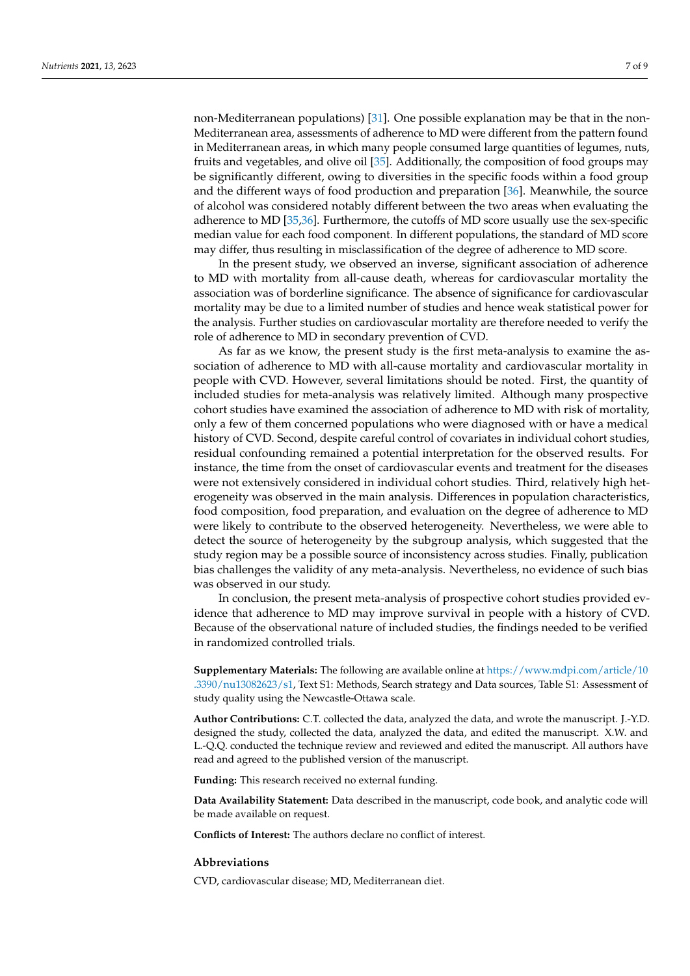non-Mediterranean populations) [\[31\]](#page-8-4). One possible explanation may be that in the non-Mediterranean area, assessments of adherence to MD were different from the pattern found in Mediterranean areas, in which many people consumed large quantities of legumes, nuts, fruits and vegetables, and olive oil [\[35\]](#page-8-8). Additionally, the composition of food groups may be significantly different, owing to diversities in the specific foods within a food group and the different ways of food production and preparation [\[36\]](#page-8-9). Meanwhile, the source of alcohol was considered notably different between the two areas when evaluating the adherence to MD [\[35,](#page-8-8)[36\]](#page-8-9). Furthermore, the cutoffs of MD score usually use the sex-specific median value for each food component. In different populations, the standard of MD score may differ, thus resulting in misclassification of the degree of adherence to MD score.

In the present study, we observed an inverse, significant association of adherence to MD with mortality from all-cause death, whereas for cardiovascular mortality the association was of borderline significance. The absence of significance for cardiovascular mortality may be due to a limited number of studies and hence weak statistical power for the analysis. Further studies on cardiovascular mortality are therefore needed to verify the role of adherence to MD in secondary prevention of CVD.

As far as we know, the present study is the first meta-analysis to examine the association of adherence to MD with all-cause mortality and cardiovascular mortality in people with CVD. However, several limitations should be noted. First, the quantity of included studies for meta-analysis was relatively limited. Although many prospective cohort studies have examined the association of adherence to MD with risk of mortality, only a few of them concerned populations who were diagnosed with or have a medical history of CVD. Second, despite careful control of covariates in individual cohort studies, residual confounding remained a potential interpretation for the observed results. For instance, the time from the onset of cardiovascular events and treatment for the diseases were not extensively considered in individual cohort studies. Third, relatively high heterogeneity was observed in the main analysis. Differences in population characteristics, food composition, food preparation, and evaluation on the degree of adherence to MD were likely to contribute to the observed heterogeneity. Nevertheless, we were able to detect the source of heterogeneity by the subgroup analysis, which suggested that the study region may be a possible source of inconsistency across studies. Finally, publication bias challenges the validity of any meta-analysis. Nevertheless, no evidence of such bias was observed in our study.

In conclusion, the present meta-analysis of prospective cohort studies provided evidence that adherence to MD may improve survival in people with a history of CVD. Because of the observational nature of included studies, the findings needed to be verified in randomized controlled trials.

**Supplementary Materials:** The following are available online at [https://www.mdpi.com/article/10](https://www.mdpi.com/article/10.3390/nu13082623/s1) [.3390/nu13082623/s1,](https://www.mdpi.com/article/10.3390/nu13082623/s1) Text S1: Methods, Search strategy and Data sources, Table S1: Assessment of study quality using the Newcastle-Ottawa scale.

**Author Contributions:** C.T. collected the data, analyzed the data, and wrote the manuscript. J.-Y.D. designed the study, collected the data, analyzed the data, and edited the manuscript. X.W. and L.-Q.Q. conducted the technique review and reviewed and edited the manuscript. All authors have read and agreed to the published version of the manuscript.

**Funding:** This research received no external funding.

**Data Availability Statement:** Data described in the manuscript, code book, and analytic code will be made available on request.

**Conflicts of Interest:** The authors declare no conflict of interest.

# **Abbreviations**

CVD, cardiovascular disease; MD, Mediterranean diet.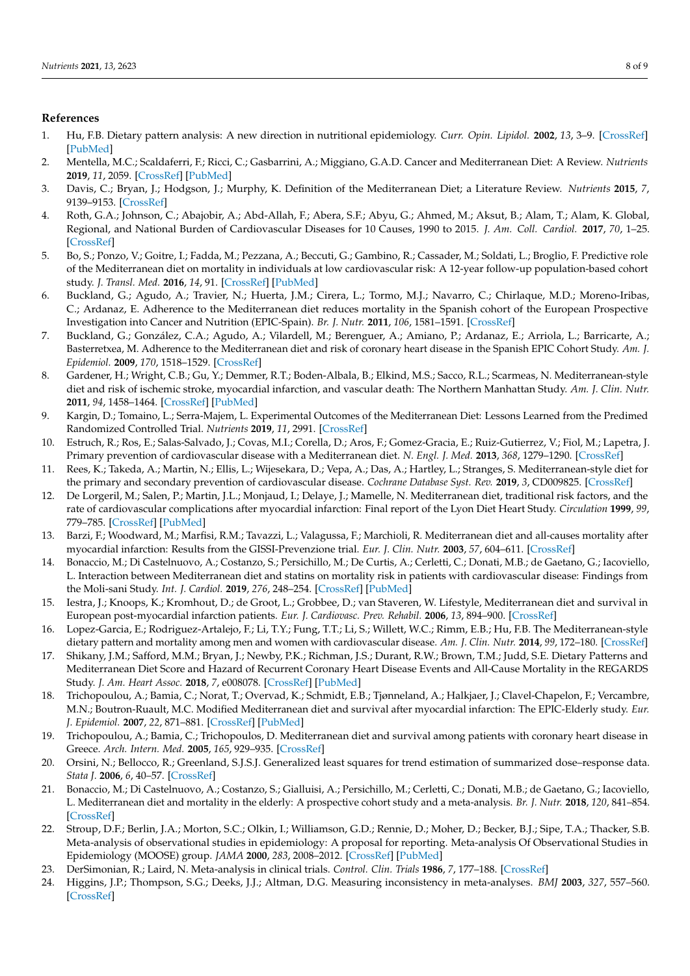# **References**

- <span id="page-7-0"></span>1. Hu, F.B. Dietary pattern analysis: A new direction in nutritional epidemiology. *Curr. Opin. Lipidol.* **2002**, *13*, 3–9. [\[CrossRef\]](http://doi.org/10.1097/00041433-200202000-00002) [\[PubMed\]](http://www.ncbi.nlm.nih.gov/pubmed/11790957)
- <span id="page-7-1"></span>2. Mentella, M.C.; Scaldaferri, F.; Ricci, C.; Gasbarrini, A.; Miggiano, G.A.D. Cancer and Mediterranean Diet: A Review. *Nutrients* **2019**, *11*, 2059. [\[CrossRef\]](http://doi.org/10.3390/nu11092059) [\[PubMed\]](http://www.ncbi.nlm.nih.gov/pubmed/31480794)
- <span id="page-7-2"></span>3. Davis, C.; Bryan, J.; Hodgson, J.; Murphy, K. Definition of the Mediterranean Diet; a Literature Review. *Nutrients* **2015**, *7*, 9139–9153. [\[CrossRef\]](http://doi.org/10.3390/nu7115459)
- <span id="page-7-3"></span>4. Roth, G.A.; Johnson, C.; Abajobir, A.; Abd-Allah, F.; Abera, S.F.; Abyu, G.; Ahmed, M.; Aksut, B.; Alam, T.; Alam, K. Global, Regional, and National Burden of Cardiovascular Diseases for 10 Causes, 1990 to 2015. *J. Am. Coll. Cardiol.* **2017**, *70*, 1–25. [\[CrossRef\]](http://doi.org/10.1016/j.jacc.2017.04.052)
- <span id="page-7-4"></span>5. Bo, S.; Ponzo, V.; Goitre, I.; Fadda, M.; Pezzana, A.; Beccuti, G.; Gambino, R.; Cassader, M.; Soldati, L.; Broglio, F. Predictive role of the Mediterranean diet on mortality in individuals at low cardiovascular risk: A 12-year follow-up population-based cohort study. *J. Transl. Med.* **2016**, *14*, 91. [\[CrossRef\]](http://doi.org/10.1186/s12967-016-0851-7) [\[PubMed\]](http://www.ncbi.nlm.nih.gov/pubmed/27071746)
- 6. Buckland, G.; Agudo, A.; Travier, N.; Huerta, J.M.; Cirera, L.; Tormo, M.J.; Navarro, C.; Chirlaque, M.D.; Moreno-Iribas, C.; Ardanaz, E. Adherence to the Mediterranean diet reduces mortality in the Spanish cohort of the European Prospective Investigation into Cancer and Nutrition (EPIC-Spain). *Br. J. Nutr.* **2011**, *106*, 1581–1591. [\[CrossRef\]](http://doi.org/10.1017/S0007114511002078)
- 7. Buckland, G.; González, C.A.; Agudo, A.; Vilardell, M.; Berenguer, A.; Amiano, P.; Ardanaz, E.; Arriola, L.; Barricarte, A.; Basterretxea, M. Adherence to the Mediterranean diet and risk of coronary heart disease in the Spanish EPIC Cohort Study. *Am. J. Epidemiol.* **2009**, *170*, 1518–1529. [\[CrossRef\]](http://doi.org/10.1093/aje/kwp282)
- <span id="page-7-5"></span>8. Gardener, H.; Wright, C.B.; Gu, Y.; Demmer, R.T.; Boden-Albala, B.; Elkind, M.S.; Sacco, R.L.; Scarmeas, N. Mediterranean-style diet and risk of ischemic stroke, myocardial infarction, and vascular death: The Northern Manhattan Study. *Am. J. Clin. Nutr.* **2011**, *94*, 1458–1464. [\[CrossRef\]](http://doi.org/10.3945/ajcn.111.012799) [\[PubMed\]](http://www.ncbi.nlm.nih.gov/pubmed/22071704)
- <span id="page-7-6"></span>9. Kargin, D.; Tomaino, L.; Serra-Majem, L. Experimental Outcomes of the Mediterranean Diet: Lessons Learned from the Predimed Randomized Controlled Trial. *Nutrients* **2019**, *11*, 2991. [\[CrossRef\]](http://doi.org/10.3390/nu11122991)
- <span id="page-7-7"></span>10. Estruch, R.; Ros, E.; Salas-Salvado, J.; Covas, M.I.; Corella, D.; Aros, F.; Gomez-Gracia, E.; Ruiz-Gutierrez, V.; Fiol, M.; Lapetra, J. Primary prevention of cardiovascular disease with a Mediterranean diet. *N. Engl. J. Med.* **2013**, *368*, 1279–1290. [\[CrossRef\]](http://doi.org/10.1056/NEJMoa1200303)
- <span id="page-7-8"></span>11. Rees, K.; Takeda, A.; Martin, N.; Ellis, L.; Wijesekara, D.; Vepa, A.; Das, A.; Hartley, L.; Stranges, S. Mediterranean-style diet for the primary and secondary prevention of cardiovascular disease. *Cochrane Database Syst. Rev.* **2019**, *3*, CD009825. [\[CrossRef\]](http://doi.org/10.1002/14651858.CD009825.pub3)
- <span id="page-7-9"></span>12. De Lorgeril, M.; Salen, P.; Martin, J.L.; Monjaud, I.; Delaye, J.; Mamelle, N. Mediterranean diet, traditional risk factors, and the rate of cardiovascular complications after myocardial infarction: Final report of the Lyon Diet Heart Study. *Circulation* **1999**, *99*, 779–785. [\[CrossRef\]](http://doi.org/10.1161/01.CIR.99.6.779) [\[PubMed\]](http://www.ncbi.nlm.nih.gov/pubmed/9989963)
- <span id="page-7-10"></span>13. Barzi, F.; Woodward, M.; Marfisi, R.M.; Tavazzi, L.; Valagussa, F.; Marchioli, R. Mediterranean diet and all-causes mortality after myocardial infarction: Results from the GISSI-Prevenzione trial. *Eur. J. Clin. Nutr.* **2003**, *57*, 604–611. [\[CrossRef\]](http://doi.org/10.1038/sj.ejcn.1601575)
- <span id="page-7-15"></span>14. Bonaccio, M.; Di Castelnuovo, A.; Costanzo, S.; Persichillo, M.; De Curtis, A.; Cerletti, C.; Donati, M.B.; de Gaetano, G.; Iacoviello, L. Interaction between Mediterranean diet and statins on mortality risk in patients with cardiovascular disease: Findings from the Moli-sani Study. *Int. J. Cardiol.* **2019**, *276*, 248–254. [\[CrossRef\]](http://doi.org/10.1016/j.ijcard.2018.11.117) [\[PubMed\]](http://www.ncbi.nlm.nih.gov/pubmed/30527993)
- <span id="page-7-20"></span>15. Iestra, J.; Knoops, K.; Kromhout, D.; de Groot, L.; Grobbee, D.; van Staveren, W. Lifestyle, Mediterranean diet and survival in European post-myocardial infarction patients. *Eur. J. Cardiovasc. Prev. Rehabil.* **2006**, *13*, 894–900. [\[CrossRef\]](http://doi.org/10.1097/01.hjr.0000201517.36214.ba)
- <span id="page-7-21"></span>16. Lopez-Garcia, E.; Rodriguez-Artalejo, F.; Li, T.Y.; Fung, T.T.; Li, S.; Willett, W.C.; Rimm, E.B.; Hu, F.B. The Mediterranean-style dietary pattern and mortality among men and women with cardiovascular disease. *Am. J. Clin. Nutr.* **2014**, *99*, 172–180. [\[CrossRef\]](http://doi.org/10.3945/ajcn.113.068106)
- <span id="page-7-16"></span>17. Shikany, J.M.; Safford, M.M.; Bryan, J.; Newby, P.K.; Richman, J.S.; Durant, R.W.; Brown, T.M.; Judd, S.E. Dietary Patterns and Mediterranean Diet Score and Hazard of Recurrent Coronary Heart Disease Events and All-Cause Mortality in the REGARDS Study. *J. Am. Heart Assoc.* **2018**, *7*, e008078. [\[CrossRef\]](http://doi.org/10.1161/JAHA.117.008078) [\[PubMed\]](http://www.ncbi.nlm.nih.gov/pubmed/30005552)
- <span id="page-7-13"></span>18. Trichopoulou, A.; Bamia, C.; Norat, T.; Overvad, K.; Schmidt, E.B.; Tjønneland, A.; Halkjaer, J.; Clavel-Chapelon, F.; Vercambre, M.N.; Boutron-Ruault, M.C. Modified Mediterranean diet and survival after myocardial infarction: The EPIC-Elderly study. *Eur. J. Epidemiol.* **2007**, *22*, 871–881. [\[CrossRef\]](http://doi.org/10.1007/s10654-007-9190-6) [\[PubMed\]](http://www.ncbi.nlm.nih.gov/pubmed/17926134)
- <span id="page-7-14"></span>19. Trichopoulou, A.; Bamia, C.; Trichopoulos, D. Mediterranean diet and survival among patients with coronary heart disease in Greece. *Arch. Intern. Med.* **2005**, *165*, 929–935. [\[CrossRef\]](http://doi.org/10.1001/archinte.165.8.929)
- <span id="page-7-17"></span>20. Orsini, N.; Bellocco, R.; Greenland, S.J.S.J. Generalized least squares for trend estimation of summarized dose–response data. *Stata J.* **2006**, *6*, 40–57. [\[CrossRef\]](http://doi.org/10.1177/1536867X0600600103)
- <span id="page-7-11"></span>21. Bonaccio, M.; Di Castelnuovo, A.; Costanzo, S.; Gialluisi, A.; Persichillo, M.; Cerletti, C.; Donati, M.B.; de Gaetano, G.; Iacoviello, L. Mediterranean diet and mortality in the elderly: A prospective cohort study and a meta-analysis. *Br. J. Nutr.* **2018**, *120*, 841–854. [\[CrossRef\]](http://doi.org/10.1017/S0007114518002179)
- <span id="page-7-12"></span>22. Stroup, D.F.; Berlin, J.A.; Morton, S.C.; Olkin, I.; Williamson, G.D.; Rennie, D.; Moher, D.; Becker, B.J.; Sipe, T.A.; Thacker, S.B. Meta-analysis of observational studies in epidemiology: A proposal for reporting. Meta-analysis Of Observational Studies in Epidemiology (MOOSE) group. *JAMA* **2000**, *283*, 2008–2012. [\[CrossRef\]](http://doi.org/10.1001/jama.283.15.2008) [\[PubMed\]](http://www.ncbi.nlm.nih.gov/pubmed/10789670)
- <span id="page-7-18"></span>23. DerSimonian, R.; Laird, N. Meta-analysis in clinical trials. *Control. Clin. Trials* **1986**, *7*, 177–188. [\[CrossRef\]](http://doi.org/10.1016/0197-2456(86)90046-2)
- <span id="page-7-19"></span>24. Higgins, J.P.; Thompson, S.G.; Deeks, J.J.; Altman, D.G. Measuring inconsistency in meta-analyses. *BMJ* **2003**, *327*, 557–560. [\[CrossRef\]](http://doi.org/10.1136/bmj.327.7414.557)